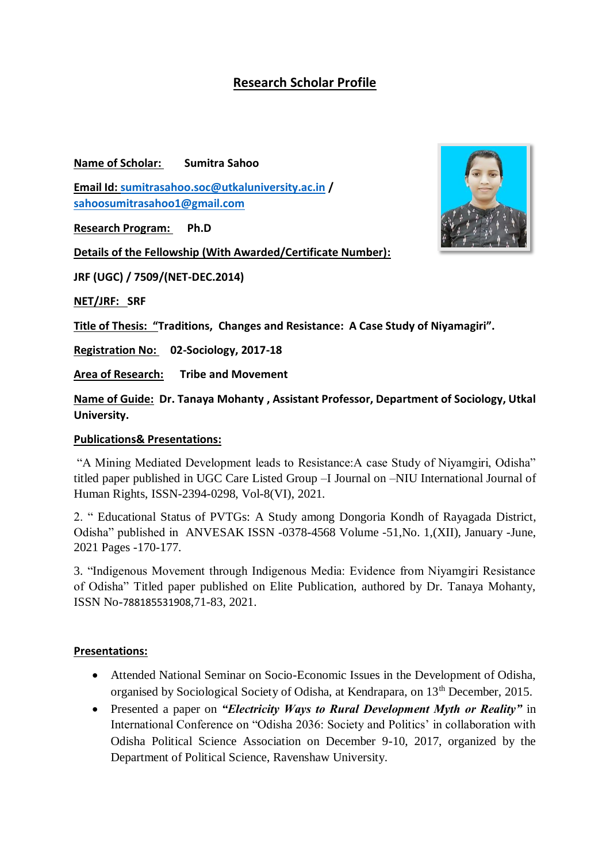## **Research Scholar Profile**

**Name of Scholar: Sumitra Sahoo**

**Email Id: [sumitrasahoo.soc@utkaluniversity.ac.in](mailto:sumitrasahoo.soc@utkaluniversity.ac.in) / [sahoosumitrasahoo1@gmail.com](mailto:sahoosumitrasahoo1@gmail.com)**

**Research Program: Ph.D**

**Details of the Fellowship (With Awarded/Certificate Number):** 

**JRF (UGC) / 7509/(NET-DEC.2014)**

**NET/JRF: SRF**

**Title of Thesis: "Traditions, Changes and Resistance: A Case Study of Niyamagiri".** 

**Registration No: 02-Sociology, 2017-18**

**Area of Research: Tribe and Movement**

**Name of Guide: Dr. Tanaya Mohanty , Assistant Professor, Department of Sociology, Utkal University.** 

## **Publications& Presentations:**

"A Mining Mediated Development leads to Resistance:A case Study of Niyamgiri, Odisha" titled paper published in UGC Care Listed Group –I Journal on –NIU International Journal of Human Rights, ISSN-2394-0298, Vol-8(VI), 2021.

2. " Educational Status of PVTGs: A Study among Dongoria Kondh of Rayagada District, Odisha" published in ANVESAK ISSN -0378-4568 Volume -51,No. 1,(XII), January -June, 2021 Pages -170-177.

3. "Indigenous Movement through Indigenous Media: Evidence from Niyamgiri Resistance of Odisha" Titled paper published on Elite Publication, authored by Dr. Tanaya Mohanty, ISSN No-788185531908,71-83, 2021.

## **Presentations:**

- Attended National Seminar on Socio-Economic Issues in the Development of Odisha, organised by Sociological Society of Odisha, at Kendrapara, on 13th December, 2015.
- Presented a paper on *"Electricity Ways to Rural Development Myth or Reality"* in International Conference on "Odisha 2036: Society and Politics' in collaboration with Odisha Political Science Association on December 9-10, 2017, organized by the Department of Political Science, Ravenshaw University.